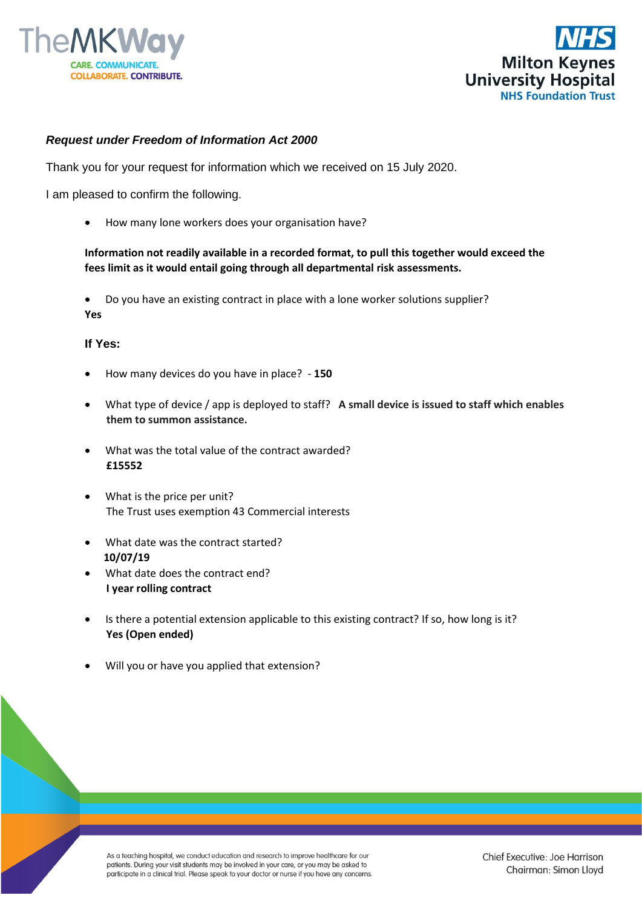



## *Request under Freedom of Information Act 2000*

Thank you for your request for information which we received on 15 July 2020.

I am pleased to confirm the following.

• How many lone workers does your organisation have?

## **Information not readily available in a recorded format, to pull this together would exceed the fees limit as it would entail going through all departmental risk assessments.**

• Do you have an existing contract in place with a lone worker solutions supplier? **Yes**

## **If Yes:**

- How many devices do you have in place? **150**
- What type of device / app is deployed to staff? **A small device is issued to staff which enables them to summon assistance.**
- What was the total value of the contract awarded?  **£15552**
- What is the price per unit? The Trust uses exemption 43 Commercial interests
- What date was the contract started?  **10/07/19**
- What date does the contract end?  **I year rolling contract**
- Is there a potential extension applicable to this existing contract? If so, how long is it?  **Yes (Open ended)**
- Will you or have you applied that extension?

As a teaching hospital, we conduct education and research to improve healthcare for our patients. During your visit students may be involved in your care, or you may be asked to participate in a clinical trial. Please speak to your doctor or nurse if you have any concerns.